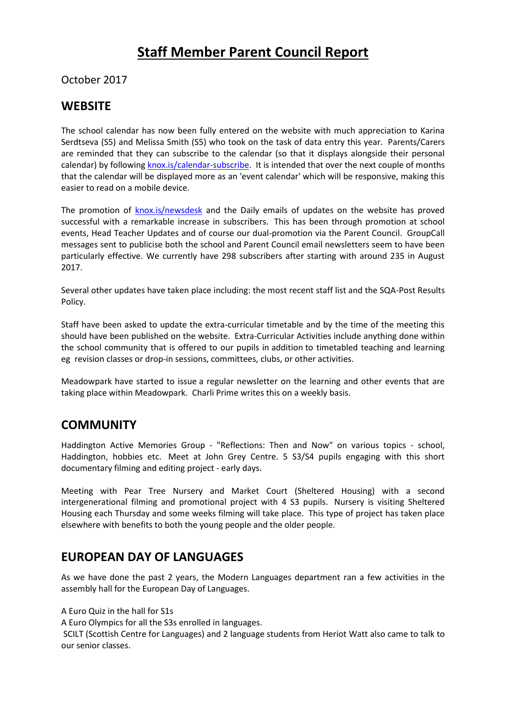# **Staff Member Parent Council Report**

#### October 2017

#### **WEBSITE**

The school calendar has now been fully entered on the website with much appreciation to Karina Serdtseva (S5) and Melissa Smith (S5) who took on the task of data entry this year. Parents/Carers are reminded that they can subscribe to the calendar (so that it displays alongside their personal calendar) by following [knox.is/calendar-subscribe.](https://mail.elc.school/owa/redir.aspx?C=Jk6U7BkLQnFe5Kj7dSYbzADvAiL06Llryzl-xdzMFvbom09iPAbVCA..&URL=http%3a%2f%2fknox.is%2fcalendar-subscribe) It is intended that over the next couple of months that the calendar will be displayed more as an 'event calendar' which will be responsive, making this easier to read on a mobile device.

The promotion of [knox.is/newsdesk](https://mail.elc.school/owa/redir.aspx?C=EC0kuJqbtjCDOWqCwZXwBtvZVEGA-xM-i6XzkVUPhdjom09iPAbVCA..&URL=http%3a%2f%2fknox.is%2fnewsdesk) and the Daily emails of updates on the website has proved successful with a remarkable increase in subscribers. This has been through promotion at school events, Head Teacher Updates and of course our dual-promotion via the Parent Council. GroupCall messages sent to publicise both the school and Parent Council email newsletters seem to have been particularly effective. We currently have 298 subscribers after starting with around 235 in August 2017.

Several other updates have taken place including: the most recent staff list and the SQA-Post Results Policy.

Staff have been asked to update the extra-curricular timetable and by the time of the meeting this should have been published on the website. Extra-Curricular Activities include anything done within the school community that is offered to our pupils in addition to timetabled teaching and learning eg revision classes or drop-in sessions, committees, clubs, or other activities.

Meadowpark have started to issue a regular newsletter on the learning and other events that are taking place within Meadowpark. Charli Prime writes this on a weekly basis.

## **COMMUNITY**

Haddington Active Memories Group - "Reflections: Then and Now" on various topics - school, Haddington, hobbies etc. Meet at John Grey Centre. 5 S3/S4 pupils engaging with this short documentary filming and editing project - early days.

Meeting with Pear Tree Nursery and Market Court (Sheltered Housing) with a second intergenerational filming and promotional project with 4 S3 pupils. Nursery is visiting Sheltered Housing each Thursday and some weeks filming will take place. This type of project has taken place elsewhere with benefits to both the young people and the older people.

## **EUROPEAN DAY OF LANGUAGES**

As we have done the past 2 years, the Modern Languages department ran a few activities in the assembly hall for the European Day of Languages.

A Euro Quiz in the hall for S1s

A Euro Olympics for all the S3s enrolled in languages.

SCILT (Scottish Centre for Languages) and 2 language students from Heriot Watt also came to talk to our senior classes.